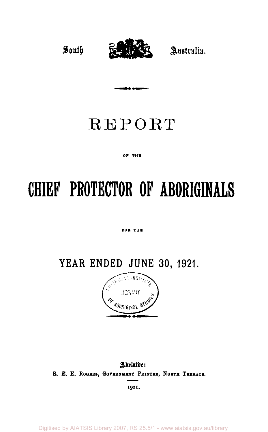

## REPORT

#### OF THE

# **CHIEF PROTECTOR OF ABORIGINALS**

#### FOR THE

**YEAR ENDED JUNE 30, 1921.** 



### *Adelaide:*  **R. E. E. ROGERS, GOVBRNMINT PRINTER, NORTH TERRACE 1921.**

Digitised by AIATSIS Library 2007, RS 25.5/1 - www.aiatsis.gov.au/library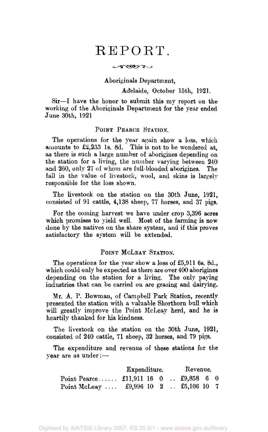## REPORT.

 $-$ 

#### Aboriginals Department,

Adelaide, October 15th, 1921.

Sir—I have the honor to submit this my report on the working of the Aboriginals Department for the year ended June 30th, 1921

#### POINT PEARCE STATION.

The operations for the year again show a loss, which amounts to £2,233 1s. 8d. This is not to be wondered at, as there is such a large number of aborigines depending on the station for a living, the number varying between 240 and 260, only 27 of whom are full-blooded aborigines. The fall in the value of livestock, wool, and skins is largely responsible for the loss shown.

The livestock on the station on the 30th June, 1921, consisted of 91 cattle, 4,138 sheep, 77 horses, and 37 pigs.

For the coming harvest we have under crop 3,396 acres which promises to yield well. Most of the farming is now done by the natives on the share system, and if this proves satisfactory the system will be extended.

#### POINT MCLEAY STATION.

The operations for the year show a loss of £5,911 6s. 8d., which could only be expected as there are over 400 aborigines depending on the station for a living. The only paying industries that can be carried on are grazing and dairying.

Mr. A. P. Bowman, of Campbell Park Station, recently presented the station with a valuable Shorthorn bull which will greatly improve the Point McLeay herd, and he is heartily thanked for his kindness.

The livestock on the station on the 30th June, 1921, consisted of 240 cattle, 71 sheep, 32 horses, and 79 pigs.

The expenditure and revenue of these stations for the year are as under:—

|                                                        | Expenditure. |  | Revenue. |  |  |  |  |  |
|--------------------------------------------------------|--------------|--|----------|--|--|--|--|--|
| Point Pearce $\pounds$ 11,911 16 0 $\pounds$ 9,858 6 0 |              |  |          |  |  |  |  |  |
| Point McLeay $\pounds 9,996$ 10 2 $\pounds 5,106$ 10 7 |              |  |          |  |  |  |  |  |

Digitised by AIATSIS Library 2007, RS 25.5/1 - www.aiatsis.gov.au/library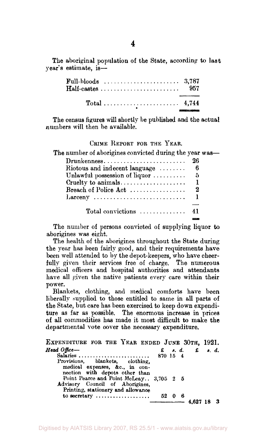The aboriginal population of the State, according to last year's estimate, is—

| $\textbf{Full-block}\quad\ldots\ldots\ldots\ldots\ldots\ldots\ldots\quad\quad3,787$ |  |  |  |  |  |  |  |  |  |  |  |  |  |  |
|-------------------------------------------------------------------------------------|--|--|--|--|--|--|--|--|--|--|--|--|--|--|
|                                                                                     |  |  |  |  |  |  |  |  |  |  |  |  |  |  |

The census figures will shortly be published and the actual numbers will then be available.

#### CRIME REPORT FOR THE YEAR.

| The number of aborigines convicted during the year was— |     |
|---------------------------------------------------------|-----|
| Drunkenness                                             | 26  |
| Riotous and indecent language                           | 6   |
| Unlawful possession of liquor                           | ាភិ |
|                                                         |     |
| Breach of Police Act                                    | 2   |
| $\text{Larceny}$                                        |     |
|                                                         |     |
| $Total$ convictions                                     | 41  |

The number of persons convicted of supplying liquor to aborigines was eight.

The health of the aborigines throughout the State during the year has been fairly good, and their requirements have been well attended to by the depot-keepers, who have cheerfully given their services free of charge. The numerous medical officers and hospital authorities and attendants have all given the native patients every care within their power.

Blankets, clothing, and medical comforts have been liberally supplied to those entitled to same in all parts of the State, but care has been exercised to keep down expenditure as far as possible. The enormous increase in prices of all commodities has made it most difficult to make the departmental vote cover the necessary expenditure.

| EXPENDITURE FOR THE YEAR ENDED JUNE 30TH, 1921.                                                                                                                                                                         |          |                                                                           |     |
|-------------------------------------------------------------------------------------------------------------------------------------------------------------------------------------------------------------------------|----------|---------------------------------------------------------------------------|-----|
| Head Office----<br>Salaries                                                                                                                                                                                             | 870 15 4 | $\pounds$ $\pmb{s}$ , $\pmb{d}$ , $\pmb{\pmb{t}}$ $\pmb{s}$ , $\pmb{d}$ , |     |
| Provisions, blankets, clothing,<br>medical expenses, &c., in con-<br>nection with depots other than<br>Point Pearce and Point McLeay 3,705 2 5<br>Advisory Council of Aborigines.<br>Printing, stationery and allowance |          |                                                                           |     |
| to secretary  52 0 6                                                                                                                                                                                                    |          | $-$ 4.627 18                                                              | - 3 |
|                                                                                                                                                                                                                         |          |                                                                           |     |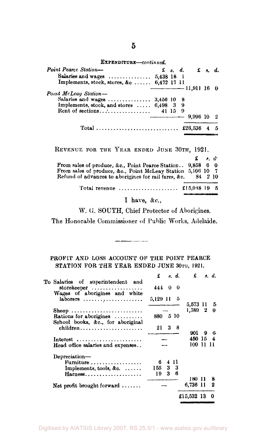EXPENDITURE—*continued.* 

| <b>Point Pearce Station—</b>              |  |          | $\mathfrak{L}$ s. d. $\mathfrak{L}$ s. d. |    |
|-------------------------------------------|--|----------|-------------------------------------------|----|
| Salaries and wages  5,438 18 1            |  |          |                                           |    |
| Implements, stock, stores, &c 6,472 17 11 |  |          |                                           |    |
|                                           |  |          | $\frac{1}{1}$ 11,911 16 0                 |    |
| Point McLeay Station-                     |  |          |                                           |    |
| Salaries and wages  3,456 10 8            |  |          |                                           |    |
| Implements, stock, and stores  6,498 3 9  |  |          |                                           |    |
|                                           |  | $\Omega$ |                                           |    |
|                                           |  |          | 9.996 10                                  |    |
|                                           |  |          |                                           | -5 |

REVENUE FOR THE YEAR ENDED JUNE 30TH, 1921.

|                                                                 | $\mathbf{f}$ , $d$ |  |
|-----------------------------------------------------------------|--------------------|--|
| From sales of produce, &c., Point Pearce Station 9,858 6 0      |                    |  |
| From sales of produce, &c., Point McLeay Station 5,106 10 7     |                    |  |
| Refund of advances to aborigines for rail fares, &c. 84 2 10    |                    |  |
| Total revenue $\ldots \ldots \ldots \ldots \ldots$ f15.048 19 5 |                    |  |
|                                                                 |                    |  |

I have, &c.,

W. G. SOUTH, Chief Protector of Aborigines.

The Honorable Commissioner of Public Works, Adelaide.

#### PROFIT AND LOSS ACCOUNT OF THE POINT PEARCE STATION FOR THE YEAR ENDED JUNE 30TH, 1921.

|                                                                                   | £          |              | s. d.              | £          |   | s. d. |
|-----------------------------------------------------------------------------------|------------|--------------|--------------------|------------|---|-------|
| To Salaries of superintendent and<br>storekeeper $\dots\dots\dots\dots\dots\dots$ | 444 0      |              | $\hspace{0.1em} 0$ |            |   |       |
| Wages of aborigines and white<br>laborers $\ldots \ldots \ldots \ldots \ldots$    | 5,129 11 5 |              |                    | 5,573 11 5 |   |       |
| Sheep<br>Rations for aborigines $\ldots$<br>School books, &c., for aboriginal     | 880 5 10   |              |                    | 1.589 2    |   | 0     |
| $children \ldots \ldots \ldots \ldots$                                            |            | $21 \quad 3$ | - 8                | 901        | 9 | 6     |
| $Interest$                                                                        |            |              |                    | 450 15 4   |   |       |
| Head office salaries and expenses                                                 |            |              |                    | 100 11 11  |   |       |
| Depreciation-                                                                     |            |              |                    |            |   |       |
| Furniture                                                                         | 6          |              | 411                |            |   |       |
| Implements, tools, $\&c. \ldots$ .                                                | 155        |              | 33                 |            |   |       |
| Harness                                                                           | 19         | 3            | 6                  |            |   |       |
|                                                                                   |            |              |                    | 180-11     |   | 8.    |
| Net profit brought forward $\ldots \ldots$                                        |            |              |                    | 6,736 11   |   | 2     |
|                                                                                   |            |              |                    | £15,532 13 |   | 0     |
|                                                                                   |            |              |                    |            |   |       |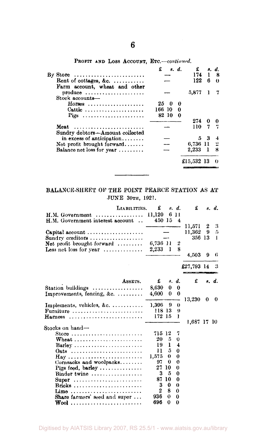| By Store $\dots \dots \dots \dots \dots \dots \dots \dots$             | £<br>8. d.             | $\mathbf{f}$<br>174 | 1          | 8. d.<br>- 8 |
|------------------------------------------------------------------------|------------------------|---------------------|------------|--------------|
| Rent of cottages, &c. $\ldots$<br>Farm account, wheat and other        |                        | 122                 | 6          | $\theta$     |
| $produce \dots \dots \dots \dots \dots \dots \dots$<br>Stock accounts- |                        | 5.877               | 1          |              |
| $Horses$                                                               | 25<br>Ð<br>0           |                     |            |              |
| Cattle<br>Pigs                                                         | 166 10<br>0<br>82 10 0 |                     |            |              |
|                                                                        |                        | 274                 | 0          | 0            |
| Meat<br>Sundry debtors—Amount collected                                |                        | 110.                | 7          |              |
| in excess of anticipation                                              |                        |                     | $5\quad 3$ | 4            |
| Net profit brought forward                                             |                        | 6,736 11 2          |            |              |
| Balance net loss for year                                              |                        | $2,233 \quad 1$     |            | - 8          |
|                                                                        |                        | £15,532 13          |            | $_{\odot}$   |
|                                                                        |                        |                     |            |              |

PROFIT AND LOSS ACCOUNT, ETC.—*continued.* 

#### BALANCE-SHEET OF THE POINT PEARCE STATION AS AT JUNE 30TH, 1921.

| LIABILITIES.                                  | £        |          | s. d.               | £           |   | s. d. |
|-----------------------------------------------|----------|----------|---------------------|-------------|---|-------|
| H.M. Government                               | 11,120   |          | 6 11                |             |   |       |
| H.M. Government interest account              | 450 15   |          | 4                   |             |   |       |
|                                               |          |          |                     | 11,571      | 2 | 3     |
| Capital account                               |          |          |                     | 11,362      | 9 | 5     |
| Sundry creditors                              |          |          |                     | 356 13      |   | 1     |
| Net profit brought forward $\ldots$           | 6,736 11 |          | $\overline{2}$<br>8 |             |   |       |
| Less net loss for year $\dots\dots\dots\dots$ | 2,233    | 1        |                     | 4,503       | 9 | 6     |
|                                               |          |          |                     |             |   |       |
|                                               |          |          |                     | £27,793 14  |   | 3     |
| ASSETS.                                       | £        |          | s. d.               | £           |   | s. d. |
| Station buildings                             | 8.630    | $\bf{0}$ | 0                   |             |   |       |
| Improvements, fencing, $\&c. \ldots \ldots$   | 4,600    | 0        | $\bf{0}$            |             |   |       |
|                                               |          |          |                     | 13,230      | 0 | 0     |
| Implements, vehicles, &c. $\dots$             | 1,396 9  |          | $\Omega$            |             |   |       |
| Furniture                                     | 118 13   |          | 9                   |             |   |       |
| Harness                                       | 172 15   |          | 1                   |             |   |       |
|                                               |          |          |                     | 1,687 17 10 |   |       |
| Stocks on hand—                               |          |          |                     |             |   |       |
| Store                                         | 715 12   |          | 7                   |             |   |       |
| Wheat                                         | 20       | 5.       | 0                   |             |   |       |
| Barley                                        | 19       | ı        | 4                   |             |   |       |
| Oats                                          | Ħ        | 5        | $\bf{0}$            |             |   |       |
|                                               | 1.575    | 0        | 0                   |             |   |       |
| Cornsacks and woolpacks                       | 97       | 0        | $\bf{0}$            |             |   |       |
| Pigs food, barley $\dots \dots \dots \dots$   | 27       | 10       | 0                   |             |   |       |
| $Binder$ twine $\ldots \ldots \ldots \ldots$  | 3        | 5        | 0                   |             |   |       |
| Super                                         | 87       | 10       | $\bf{0}$            |             |   |       |
| Bricks                                        | 3        | 0        | $\bf{0}$            |             |   |       |
| Lime                                          | 2        | 8        | $\Omega$            |             |   |       |
| Share farmers' seed and super                 | 936      | 0        | 0                   |             |   |       |
| Wool                                          | 696      | $\Omega$ | 0                   |             |   |       |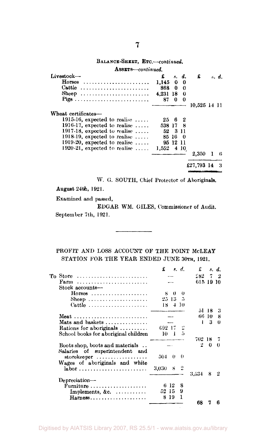| Assurs-continued.                       |              |          |          |              |    |       |
|-----------------------------------------|--------------|----------|----------|--------------|----|-------|
| Livestock---                            | £            |          | s. d.    | £            |    | s. d. |
| $Horses$                                | 1.145        | 0        | 0        |              |    |       |
| Cattle                                  | 868 0        |          | - 0      |              |    |       |
| Sheep                                   | 4,231 18 0   |          |          |              |    |       |
|                                         |              | 87 0     | $\Omega$ |              |    |       |
|                                         |              |          |          | 10.525 14 11 |    |       |
| Wheat certificates-                     |              |          |          |              |    |       |
| 1915-16, expected to realise $\ldots$ . |              | 25 6 2   |          |              |    |       |
| 1916-17, expected to realise $\ldots$ . | 538 17 8     |          |          |              |    |       |
| 1917-18, expected to realise $\ldots$ . |              | 52 3 11  |          |              |    |       |
| 1918-19, expected to realise $\ldots$ . |              | 85 16    | - 0      |              |    |       |
| 1919-20, expected to realise $\ldots$ . |              | 95 12 11 |          |              |    |       |
| 1920-21, expected to realise $\ldots$ . | $1,552$ 4 10 |          |          |              |    |       |
|                                         |              |          |          | 2,350        | -1 | 6     |
|                                         |              |          |          | £27,793 14   |    | 3     |
|                                         |              |          |          |              |    |       |

W. G. SOUTH, Chief Protector of Aboriginals.

August 24th, 1921.

Examined and passed,

EDGAR WM. GILES, Commissioner of Audit, September 7th, 1921.

#### PROFIT AND LOSS ACCOUNT OF THE POINT MCLEAY STATION FOR THE YEAR ENDED JUNE 30TH, 1921.

|                                                                                         | £     |              | s. d. | £         |    | s. d.  |
|-----------------------------------------------------------------------------------------|-------|--------------|-------|-----------|----|--------|
| To Store                                                                                |       |              |       | 282.      | 7  | -92    |
| Farm                                                                                    |       |              |       | 615 19 10 |    |        |
| Stock accounts-                                                                         |       |              |       |           |    |        |
| $H$ orsos                                                                               |       | 80           | 0     |           |    |        |
| Sheep                                                                                   |       | $25\,13\,-5$ |       |           |    |        |
| Cattle                                                                                  |       | $18 + 10$    |       |           |    |        |
|                                                                                         |       |              |       | 51        | 18 | 3      |
|                                                                                         |       |              |       | 66        | 10 | я      |
| Mats and baskets $\dots\dots\dots\dots\dots$                                            |       |              |       | ı         | 3  | $_{0}$ |
| Rations for aboriginals $\ldots \ldots \ldots$                                          |       | 692-17       |       |           |    |        |
| School books for aboriginal children                                                    | 10    | - 1          | - 5   |           |    |        |
|                                                                                         |       |              |       | 702 18    |    |        |
| Boots shop, boots and materials                                                         |       |              |       | 2         | 0  | 0      |
| Salaries of superintendent and                                                          |       |              |       |           |    |        |
| $storekeeper \ldots \ldots \ldots \ldots \ldots$                                        | 504.  | - 0          | 0     |           |    |        |
| Wages of aboriginals and white                                                          |       |              |       |           |    |        |
| labor                                                                                   | 3.030 | - 8          |       |           |    |        |
|                                                                                         |       |              |       | 3.534     | 8  | 2      |
| Depreciation-                                                                           |       |              |       |           |    |        |
|                                                                                         |       | 6 12         | 8     |           |    |        |
|                                                                                         |       |              |       |           |    |        |
| Furniture                                                                               |       | 52-15        | 9     |           |    |        |
| Implements, $\&c. \ldots \ldots$<br>$Harness \dots \dots \dots \dots \dots \dots \dots$ | 8     | -19          | 1     |           |    |        |

BALANCE-SHEET, **ETC.—***continued.*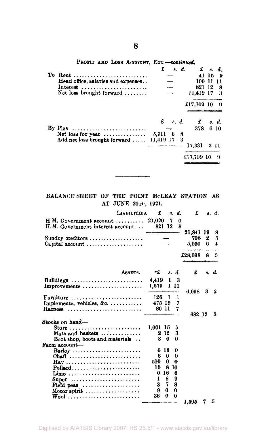|  |  | PROFIT AND LOSS ACCOUNT, ETC.--continued. |  |  |  |  |
|--|--|-------------------------------------------|--|--|--|--|
|  |  |                                           |  |  |  |  |

|    |                                                                 | ı         | s. а. | <b>2</b> 8. A.                                                                                                                       |        |     |
|----|-----------------------------------------------------------------|-----------|-------|--------------------------------------------------------------------------------------------------------------------------------------|--------|-----|
| To |                                                                 |           |       |                                                                                                                                      | 41 15  | - 9 |
|    | Head office, salaries and expenses                              |           |       |                                                                                                                                      | 100 11 | 11  |
|    | Interest                                                        |           |       | 821 12                                                                                                                               |        | -8  |
|    | Net loss brought forward $\ldots \ldots$                        |           |       | 11,419 17 3                                                                                                                          |        |     |
|    |                                                                 |           |       | £17,709 10 9                                                                                                                         |        |     |
|    |                                                                 |           |       |                                                                                                                                      |        |     |
|    |                                                                 |           |       | $\mathbf f = s, d, \qquad \mathbf f = s, d.$                                                                                         |        |     |
|    | By Pigs $\dots \dots \dots \dots \dots \dots \dots \dots \dots$ |           |       | 378                                                                                                                                  |        | 610 |
|    | Net loss for year $\dots\dots\dots\dots\dots$                   | 5,911 6 8 |       |                                                                                                                                      |        |     |
|    | Add net loss brought forward  11,419 17 3                       |           |       |                                                                                                                                      |        |     |
|    |                                                                 |           |       | 17.331                                                                                                                               | -3-11  |     |
|    |                                                                 |           |       | €17,709 10<br><u> The Contract of Contract of Contract of The Contract of The Contract of The Contract of The Contract of The Co</u> |        | - 9 |

**BALANCE SHEET OP THE POINT McLEAY STATION AS AT JUNE 30TH, 1921.** 

| LIABILITTES.                                                                 | £              |             | s. d.    | £                                                |                     | s. d.                             |
|------------------------------------------------------------------------------|----------------|-------------|----------|--------------------------------------------------|---------------------|-----------------------------------|
| H.M. Government account $\ldots$ 21,020<br>H.M. Government interest account  | 821 12         |             | 7        | 0<br>R                                           |                     |                                   |
| Sundry creditors<br>Capital account $\ldots \ldots \ldots \ldots \ldots$     |                |             |          | 21.841<br>706<br>5.550                           | 19<br>$\bf{2}$<br>6 | 8<br>5<br>$\overline{\mathbf{4}}$ |
|                                                                              |                |             |          | £28,098<br><u> Terra di Madamento di Secondo</u> | 8                   | 5                                 |
| ASSETS.                                                                      | -£             |             | s. d.    | £                                                |                     | s. d.                             |
| Buildings $\ldots \ldots \ldots \ldots \ldots \ldots \ldots$<br>Improvements | 4,419<br>1.679 | 1           | 3<br>111 | 6.098                                            | 3                   | 2                                 |
| Furniture<br>Implements, vehicles, &c.                                       | 126<br>475 19  | Ŧ           | 1<br>7   |                                                  |                     |                                   |
| Harness                                                                      | 80 11          |             | 7        | 682 12                                           |                     | 3.                                |
| Stocks on hand-                                                              |                |             |          |                                                  |                     |                                   |
| Store                                                                        | 1,001 15       |             | 5        |                                                  |                     |                                   |
| Mats and baskets                                                             |                | 2 12        | 3        |                                                  |                     |                                   |
| Boot shop, boots and materials                                               |                | 80          | $\Omega$ |                                                  |                     |                                   |
| Farm account-                                                                |                |             |          |                                                  |                     |                                   |
| Barley                                                                       | 0              | -18         | 0        |                                                  |                     |                                   |
| Chaff                                                                        | 6              | 0           | 0        |                                                  |                     |                                   |
| $\mathbf{Hay}$                                                               | 510            | 0           | 0        |                                                  |                     |                                   |
| $Pollard \ldots \ldots \ldots \ldots \ldots \ldots$                          | 15             |             | 8 10     |                                                  |                     |                                   |
| Lime                                                                         | 0 16           |             | 6        |                                                  |                     |                                   |
| $\text{Super}$                                                               | 1              | 8           | 9        |                                                  |                     |                                   |
| Field peas                                                                   | 3              | 7           | 8        |                                                  |                     |                                   |
| Motor spirit                                                                 | 9              | 0           | 0        |                                                  |                     |                                   |
| Wool                                                                         | 36             | $\mathbf 0$ | 0        |                                                  |                     |                                   |
|                                                                              |                |             |          | 1,595                                            | 7                   | 5.                                |

**8**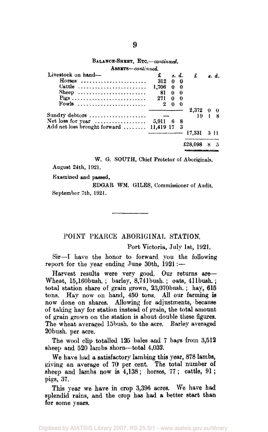#### BALANCE-SHEET, ETC.—*continued.*

| ASSETS-continued.                       |          |     |                |         |            |       |
|-----------------------------------------|----------|-----|----------------|---------|------------|-------|
| Livestock on hand-                      | £        |     | s. d.          | £       |            | s. d. |
| Horses                                  | 312      | 0   | $\mathbf{0}$   |         |            |       |
| Cattle                                  | 1,706    |     | 0 <sub>0</sub> |         |            |       |
| Sheep                                   | 81       | 0   | -0             |         |            |       |
|                                         | 271      | 0   | - 0            |         |            |       |
| Fowls                                   | $\bf{2}$ | 0   | 0              |         |            |       |
|                                         |          |     |                | 2,372   | $0\quad 0$ |       |
| Sundry debtors                          |          |     |                | 19      |            |       |
| Net loss for year $\ldots$              | 5.911    | - 6 | 8              |         |            |       |
| Add net loss brought forward  11,419 17 |          |     | - 3            |         |            |       |
|                                         |          |     |                | 17,331  |            | 3 11  |
|                                         |          |     |                | £28.098 |            | 5     |
|                                         |          |     |                |         |            |       |

W. G. SOUTH, Chief Protetor of Aboriginals. August 24th, 1921.

Examined and passed,

EDGAR WM. GILES, Commissioner of Audit. September 7th, 1921.

#### POINT PEARCE ABORIGINAL STATION.

Port Victoria, July 1st, 1921.

Sir—I have the honor to forward you the following report for the year ending June 30th, 1921:—

Harvest results were very good. Our returns are— Wheat, 15,160bush. ; barley, 8,741bush. ; oats, 411bush.; total station share of grain grown, 23,070bush. ; hay, 615 tons. Hay now on hand, 450 tons. All our farming is now done on shares. Allowing for adjustments, because of taking hay for station instead of grain, the total amount of grain grown on the station is about double these figures. The wheat averaged 15bush. to the acre. Barley averaged 20bush. per acre.

The wool clip totalled 125 bales and 7 bags from 3,512 sheep and 520 lambs shorn—total 4,032.

We have had a satisfactory lambing this year, 878 lambs, giving an average of 70 per cent. The total number of sheep and lambs now is 4,138; horses, 77; cattle, 91 ; pigs, 37.

This year we have in crop 3,396 acres. We have had splendid rains, and the crop has had a better start than for some years.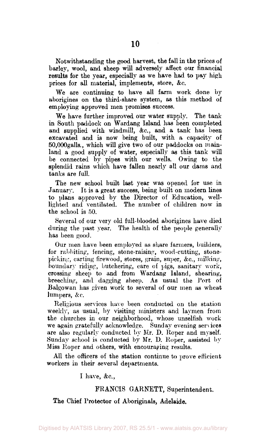Notwithstanding the good harvest, the fall in the prices of barley, wool, and sheep will adversely affect our financial results for the year, especially as we have had to pay high prices for all material, implements, store, &c.

We are continuing to have all farm work done by aborigines on the third-share system, as this method of employing approved men promises success.

We have further improved our water supply. The tank in South paddock on Wardang Island has been completed and supplied with windmill, &c, and a tank has been excavated and is now being built, with a capacity of 50,000galls., which will give two of our paddocks on mainland a good supply of water, especially as this tank will be connected by pipes with our wells. Owing to the splendid rains which have fallen nearly all our dams and tanks are full.

The new school built last year was opened for use in January. It is a great success, being built on modern lines to plans approved by the Director of Education, welllighted and ventilated. The number of children now in the school is 50.

Several of our very old full-blooded aborigines have died during the past year. The health of the people generally has been good.

Our men have been employed as share farmers, builders, for rabbiting, fencing, stone-raising, wood-cutting, stonepicking, carting firewood, stores, grain, super, &c, milking, boundary riding, butchering, care of pigs, sanitary work, crossing sheep to and from Wardang Island, shearing, breeching, and dagging sheep. As usual the Port of Balgowan has given work to several of our men as wheat lumpers, &c.

Religious services have been conducted on the station weekly, as usual, by visiting ministers and laymen from the churches in our neighborhood, whose unselfish work we again gratefully acknowledge. Sunday evening services are also regularly conducted by Mr. D. Roper and myself. Sunday school is conducted by Mr. D. Roper, assisted by Miss Roper and others, with encouraging results.

All the officers of the station continue to prove efficient workers in their several departments.

I have, &c,

#### FRANCIS GARNETT, Superintendent.

The Chief Protector of Aboriginals, Adelaide.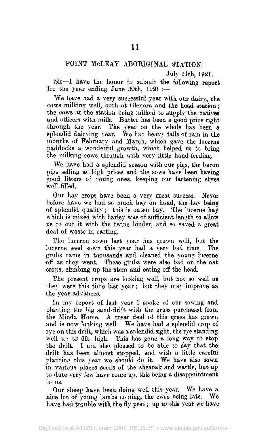#### POINT McLEAY ABORIGINAL STATION.

July **11th, 1921.** 

Sir—I have the honor to submit the following report for the year ending June 30th,  $1921 :=$ 

We have had a very successful year with our dairy, the cows milking well, both at Glenora and the head station ; the cows at the station being milked to supply the natives and officers with milk. Butter has been a good price right through the year. The year on the whole has been a splendid dairying year. We had heavy falls of rain in the months of February and March, which gave the lucerne paddocks a wonderful growth, which helped us to bring the milking cows through with very little hand-feeding.

We have had a splendid season with our pigs, the bacon pigs selling at high prices and the sows have been having good litters of young ones, keeping our fattening styes well filled.

Our hay crops have been a very great success. Never before have we had so much hay on hand, the hay being of splendid quality; this is oaten hay. The lucerne hay which is mixed with barley was of sufficient length to allow us to cut it with the twine binder, and so saved a great deal of waste in carting.

The lucerne sown last year has grown well, but the lucerne seed sown this year had a very bad time. The grubs came in thousands and cleaned the young lucerne off as they went. These grubs were also bad on the oat crops, climbing up the stem and eating off the head.

The present crops are looking well, but not so well as they were this time last year; but they may improve as the year advances.

In my report of last year I spoke of our sowing and planting the big sand-drift with the grass purchased from the Minda Home. A great deal of this grass has grown and is now looking well. We have had a splendid crop of rye on this drift, which was a splendid sight, the rye standing well up to 6ft. high. This has gone a long way to stop the drift. I am also pleased to be able to say that the drift has been almost stopped, and with a little careful planting this year we should do it. We have also sown in various places seeds of the sheaoak and wattle, but up to date very few have come up, this being a disappointment to us.

Our sheep have been doing- well this year. We have a nice lot of young lambs coming, the ewes being late. We have had trouble with the fly pest; up to this year we have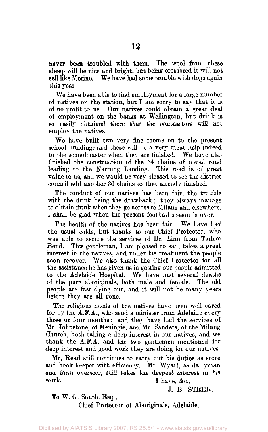never been troubled with them. The wool from these sheep will be nice and bright, but being crossbred it will not sell like Merino. We have had some trouble with dogs again this year

We have been able to find employment for a large number of natives on the station, but I am sorry to say that it is of no profit to us. Our natives could obtain a great deal of employment on the banks at Wellington, but drink is so easily obtained there that the contractors will not employ the natives.

We have built two very fine rooms on to the present school building, and these will be a very great help indeed to the schoolmaster when they are finished. We have also finished the construction of the 34 chains of metal road leading to the Narrung Landing. This road is of great value to us, and we would be very pleased to see the district council add another 30 chains to that already finished.

The conduct of our natives has been fair, the trouble with the drink being the drawback; they always manage to obtain drink when they go across to Milang and elsewhere. I shall be glad when the present football season is over.

The health of the natives has been fair. We have had the usual colds, but thanks to our Chief Protector, who was able to secure the services of Dr. Linn from Tailem Bend. This gentleman, I am pleased to say, takes a great interest in the natives, and under his treatment the people soon recover. We also thank the Chief Protector for all the assistance he has given us in getting our people admitted to the Adelaide Hospital. We have had several deaths of the pure aboriginals, both male and female. The old people are fast dying out, and it will not be many years before they are all gone.

The religious needs of the natives have been well cared for by the A.F.A., who send a minister from Adelaide every three or four months ; and they have had the services of Mr. Johnstone, of Meningie, and Mr. Sanders, of the Milang Church, both taking a deep interest in our natives, and we thank the A.F.A. and the two gentlemen mentioned for deep interest and good work they are doing for our natives.

Mr. Bead still continues to carry out his duties as store and book keeper with efficiency. Mr. Wyatt, as dairyman and farm overseer, still takes the deepest interest in his work.<br> $\frac{1}{\sqrt{2}}$  have  $\frac{1}{\sqrt{2}}$  have  $\frac{1}{\sqrt{2}}$ I have,  $&c.,$ 

J. B. STEER.

To W. G. South, Esq.,

Chief Protector of Aboriginals, Adelaide.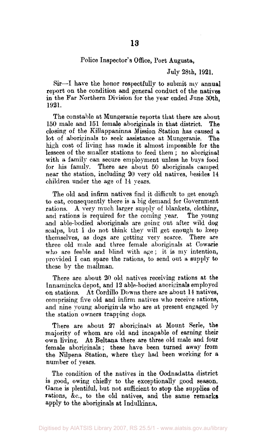#### Police Inspector's Office, Port Augusta,

July 28th, 1921.

Sir—I have the honor respectfully to submit my annual report on the condition and general conduct of the natives in the Far Northern Division for the year ended June 30th, 1921.

The constable at Mungeranie reports that there are about 150 male and 151 female aboriginals in that district. The closing of the Killappaninna Mission Station has caused a lot of aboriginals to seek assistance at Mungeranie. The high cost of living has made it almost impossible for the lessees of the smaller stations to feed them ; no aboriginal with a family can secure employment unless he buys food for his family. There are about 50 aboriginals camped near the station, including 20 very old natives, besides 14 children under the age of 14 years.

The old and infirm natives find it difficult to get enough to eat, consequently there is a big demand for Government rations. A very much larger supply of blankets, clothing, and rations is required for the coming year. The young and able-bodied aboriginals are going out after wild dog scalps, but I do not think they will get enough to keep themselves, as dogs are getting very scarce. There are three old male and three female aboriginals at Cowarie who are feeble and blind with age ; it is my intention, provided I can spare the rations, to send out a supply to these by the mailman.

There are about 20 old natives receiving rations at the Innamincka depot, and 12 able-bodied aboriginals employed on stations. At Cordillo Downs there are about 14 natives, comprising five old and infirm natives who receive rations, and nine young aborigin is who are at present engaged by the station owners trapping dogs.

There are about 27 aboriginals at Mount Serle, the majority of whom are old and incapable of earning their own living. At Beltana there are three old male and four female aboriginals; these have been turned away from the Nilpena Station, where they had been working for a number of years.

The condition of the natives in the Oodnadatta district is good, owing chiefly to the exceptionally good season. Game is plentiful, but not sufficient to stop the supplies of rations, &c, to the old natives, and the same remarks apply to the aboriginals at Indulkinna.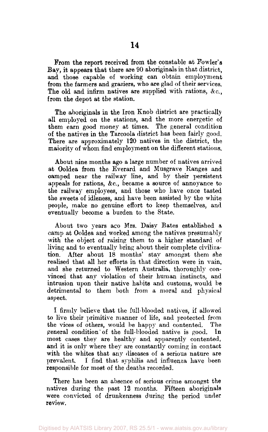**From the report** received from the constable at Fowler's Bay, it appears that there are 90 aboriginals in that district, and those capable of working can obtain employment from the farmers and graziers, who are glad of their services. The old and infirm natives are supplied with rations, &c., from the depot at the station.

The aboriginals in the Iron Knob district are practically all employed on the stations, and the more energetic of them earn good money at times. The general condition of the natives in the Tarcoola district has been fairly good. There are approximately 120 natives in the district, the majority of whom find employment on the different stations.

About nine months ago a large number of natives arrived at Ooldea from the Everard and Musgrave Ranges and camped near the railway line, and by their persistent appeals for rations, &c, became a source of annoyance to the railway employees, and those who have once tasted the sweets of idleness, and have been assisted by the white people, make no genuine effort to keep themselves, and eventually become a burden to the State.

About two years ago Mrs. Daisy Bates established a camp at Ooldea and worked among the natives presumably with the object of raising them to a higher standard of living and to eventually bring about their complete civilization. After about 18 months' stay amongst them she realised that all her efforts in that direction were in vain, and she returned to Western Australia, thoroughly convinced that any violation of their human instincts, and intrusion upon their native habits and customs, would be detrimental to them both from a moral and physical aspect.

I firmly believe that the full-blooded natives, if allowed to live their primitive manner of life, and protected from the vices of others, would be happy and contented. The general condition of the full-blooded native is good. In most cases they are healthy and apparently contented, and it is only where they are constantly coming in contact with the whites that any diseases of a serious nature are prevalent. I find that syphilis and influenza have been responsible for most of the deaths recorded.

There has been an absence of serious crime amongst the natives during the past 12 months. Fifteen aboriginals were convicted of drunkenness during the period under review.